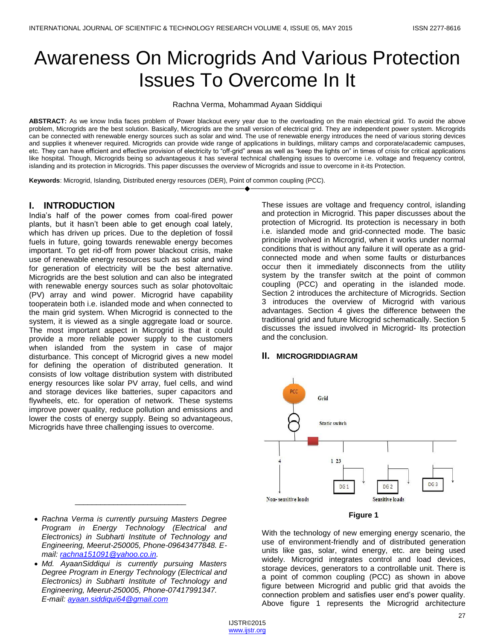# Awareness On Microgrids And Various Protection Issues To Overcome In It

Rachna Verma, Mohammad Ayaan Siddiqui

ABSTRACT: As we know India faces problem of Power blackout every year due to the overloading on the main electrical grid. To avoid the above problem, Microgrids are the best solution. Basically, Microgrids are the small version of electrical grid. They are independent power system. Microgrids can be connected with renewable energy sources such as solar and wind. The use of renewable energy introduces the need of various storing devices and supplies it whenever required. Microgrids can provide wide range of applications in buildings, military camps and corporate/academic campuses, etc. They can have efficient and effective provision of electricity to "off-grid" areas as well as "keep the lights on" in times of crisis for critical applications like hospital. Though, Microgrids being so advantageous it has several technical challenging issues to overcome i.e. voltage and frequency control, islanding and its protection in Microgrids. This paper discusses the overview of Microgrids and issue to overcome in it-its Protection.

————————————————————

**Keywords**: Microgrid, Islanding, Distributed energy resources (DER), Point of common coupling (PCC).

## **I. INTRODUCTION**

India's half of the power comes from coal-fired power plants, but it hasn't been able to get enough coal lately, which has driven up prices. Due to the depletion of fossil fuels in future, going towards renewable energy becomes important. To get rid-off from power blackout crisis, make use of renewable energy resources such as solar and wind for generation of electricity will be the best alternative. Microgrids are the best solution and can also be integrated with renewable energy sources such as solar photovoltaic (PV) array and wind power. Microgrid have capability tooperatein both i.e. islanded mode and when connected to the main grid system. When Microgrid is connected to the system, it is viewed as a single aggregate load or source. The most important aspect in Microgrid is that it could provide a more reliable power supply to the customers when islanded from the system in case of major disturbance. This concept of Microgrid gives a new model for defining the operation of distributed generation. It consists of low voltage distribution system with distributed energy resources like solar PV array, fuel cells, and wind and storage devices like batteries, super capacitors and flywheels, etc. for operation of network. These systems improve power quality, reduce pollution and emissions and lower the costs of energy supply. Being so advantageous, Microgrids have three challenging issues to overcome.

These issues are voltage and frequency control, islanding and protection in Microgrid. This paper discusses about the protection of Microgrid. Its protection is necessary in both i.e. islanded mode and grid-connected mode. The basic principle involved in Microgrid, when it works under normal conditions that is without any failure it will operate as a gridconnected mode and when some faults or disturbances occur then it immediately disconnects from the utility system by the transfer switch at the point of common coupling (PCC) and operating in the islanded mode. Section 2 introduces the architecture of Microgrids. Section 3 introduces the overview of Microgrid with various advantages. Section 4 gives the difference between the traditional grid and future Microgrid schematically. Section 5 discusses the issued involved in Microgrid- Its protection and the conclusion.

## **II. MICROGRIDDIAGRAM**





With the technology of new emerging energy scenario, the use of environment-friendly and of distributed generation units like gas, solar, wind energy, etc. are being used widely. Microgrid integrates control and load devices, storage devices, generators to a controllable unit. There is a point of common coupling (PCC) as shown in above figure between Microgrid and public grid that avoids the connection problem and satisfies user end's power quality. Above figure 1 represents the Microgrid architecture

 *Rachna Verma is currently pursuing Masters Degree Program in Energy Technology (Electrical and Electronics) in Subharti Institute of Technology and Engineering, Meerut-250005, Phone-09643477848. Email: [rachna151091@yahoo.co.in.](mailto:rachna151091@yahoo.co.in)*

\_\_\_\_\_\_\_\_\_\_\_\_\_\_\_\_\_\_\_\_\_\_\_\_\_\_

 *Md. AyaanSiddiqui is currently pursuing Masters Degree Program in Energy Technology (Electrical and Electronics) in Subharti Institute of Technology and Engineering, Meerut-250005, Phone-07417991347. E-mail: [ayaan.siddiqui64@gmail.com](mailto:ayaan.siddiqui64@gmail.com)*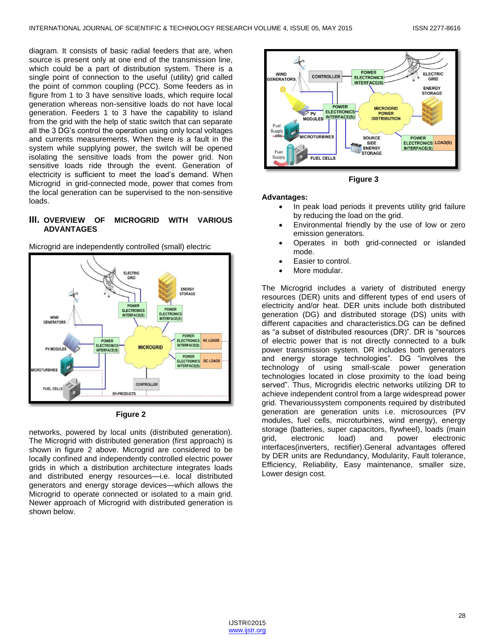diagram. It consists of basic radial feeders that are, when source is present only at one end of the transmission line, which could be a part of distribution system. There is a single point of connection to the useful (utility) grid called the point of common coupling (PCC). Some feeders as in figure from 1 to 3 have sensitive loads, which require local generation whereas non-sensitive loads do not have local generation. Feeders 1 to 3 have the capability to island from the grid with the help of static switch that can separate all the 3 DG's control the operation using only local voltages and currents measurements. When there is a fault in the system while supplying power, the switch will be opened isolating the sensitive loads from the power grid. Non sensitive loads ride through the event. Generation of electricity is sufficient to meet the load's demand. When Microgrid in grid-connected mode, power that comes from the local generation can be supervised to the non-sensitive loads.

## **III. OVERVIEW OF MICROGRID WITH VARIOUS ADVANTAGES**

Microgrid are independently controlled (small) electric





networks, powered by local units (distributed generation). The Microgrid with distributed generation (first approach) is shown in figure 2 above. Microgrid are considered to be locally confined and independently controlled electric power grids in which a distribution architecture integrates loads and distributed energy resources—i.e. local distributed generators and energy storage devices—which allows the Microgrid to operate connected or isolated to a main grid. Newer approach of Microgrid with distributed generation is shown below.



**Figure 3**

#### **Advantages:**

- In peak load periods it prevents utility grid failure by reducing the load on the grid.
- Environmental friendly by the use of low or zero emission generators.
- Operates in both grid-connected or islanded mode.
- Easier to control.
- More modular.

The Microgrid includes a variety of distributed energy resources (DER) units and different types of end users of electricity and/or heat. DER units include both distributed generation (DG) and distributed storage (DS) units with different capacities and characteristics.DG can be defined as "a subset of distributed resources (DR)". DR is "sources of electric power that is not directly connected to a bulk power transmission system. DR includes both generators and energy storage technologies". DG "involves the technology of using small-scale power generation technologies located in close proximity to the load being served". Thus, Microgridis electric networks utilizing DR to achieve independent control from a large widespread power grid. Thevarioussystem components required by distributed generation are generation units i.e. microsources (PV modules, fuel cells, microturbines, wind energy), energy storage (batteries, super capacitors, flywheel), loads (main grid, electronic load) and power electronic interfaces(inverters, rectifier).General advantages offered by DER units are Redundancy, Modularity, Fault tolerance, Efficiency, Reliability, Easy maintenance, smaller size, Lower design cost.